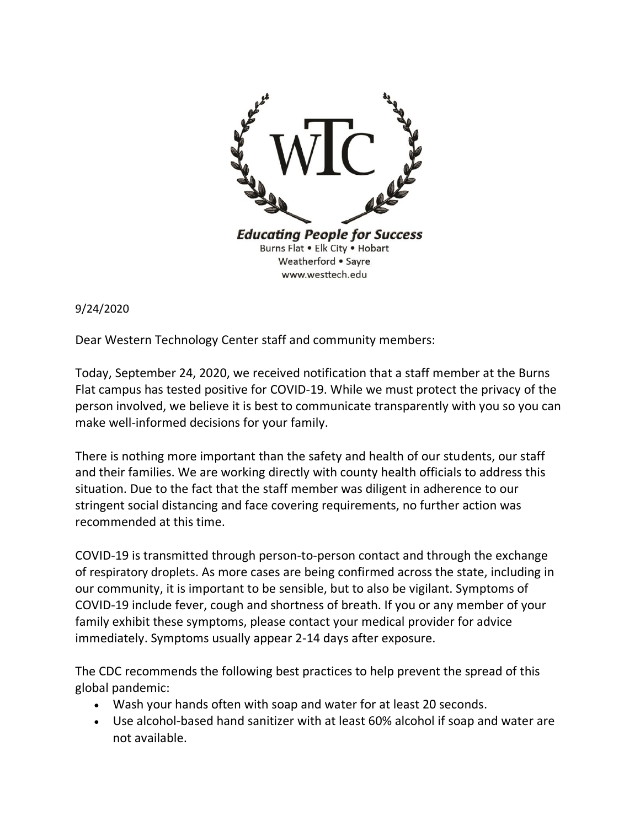

9/24/2020

Dear Western Technology Center staff and community members:

Today, September 24, 2020, we received notification that a staff member at the Burns Flat campus has tested positive for COVID-19. While we must protect the privacy of the person involved, we believe it is best to communicate transparently with you so you can make well-informed decisions for your family.

There is nothing more important than the safety and health of our students, our staff and their families. We are working directly with county health officials to address this situation. Due to the fact that the staff member was diligent in adherence to our stringent social distancing and face covering requirements, no further action was recommended at this time.

COVID-19 is transmitted through person-to-person contact and through the exchange of respiratory droplets. As more cases are being confirmed across the state, including in our community, it is important to be sensible, but to also be vigilant. Symptoms of COVID-19 include fever, cough and shortness of breath. If you or any member of your family exhibit these symptoms, please contact your medical provider for advice immediately. Symptoms usually appear 2-14 days after exposure.

The CDC recommends the following best practices to help prevent the spread of this global pandemic:

- Wash your hands often with soap and water for at least 20 seconds.
- Use alcohol-based hand sanitizer with at least 60% alcohol if soap and water are not available.